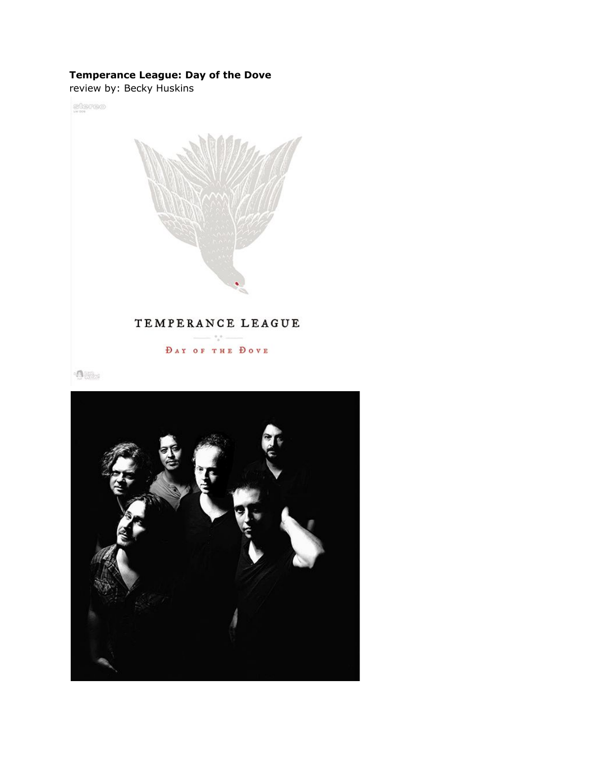## **Temperance League: Day of the Dove**

review by: Becky Huskins